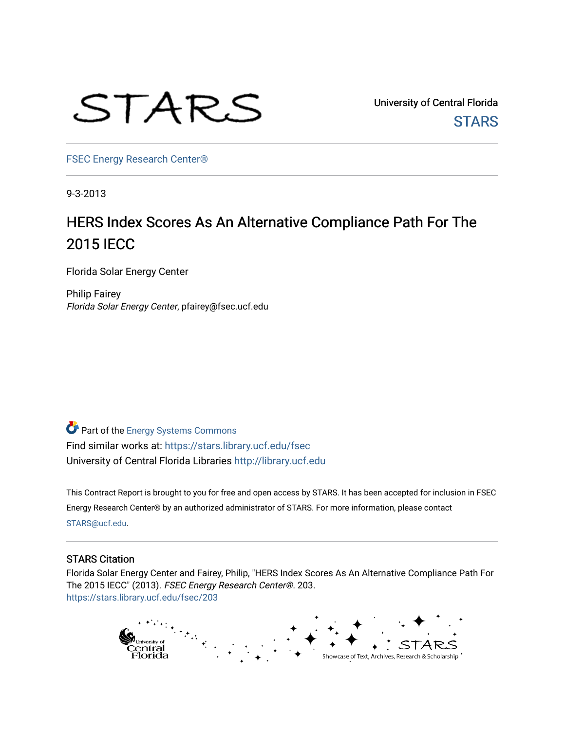

University of Central Florida **STARS** 

[FSEC Energy Research Center®](https://stars.library.ucf.edu/fsec) 

9-3-2013

## HERS Index Scores As An Alternative Compliance Path For The 2015 IECC

Florida Solar Energy Center

Philip Fairey Florida Solar Energy Center, pfairey@fsec.ucf.edu

Part of the [Energy Systems Commons](http://network.bepress.com/hgg/discipline/299?utm_source=stars.library.ucf.edu%2Ffsec%2F203&utm_medium=PDF&utm_campaign=PDFCoverPages)  Find similar works at: <https://stars.library.ucf.edu/fsec> University of Central Florida Libraries [http://library.ucf.edu](http://library.ucf.edu/) 

This Contract Report is brought to you for free and open access by STARS. It has been accepted for inclusion in FSEC Energy Research Center® by an authorized administrator of STARS. For more information, please contact [STARS@ucf.edu](mailto:STARS@ucf.edu).

#### STARS Citation

Florida Solar Energy Center and Fairey, Philip, "HERS Index Scores As An Alternative Compliance Path For The 2015 IECC" (2013). FSEC Energy Research Center®. 203. [https://stars.library.ucf.edu/fsec/203](https://stars.library.ucf.edu/fsec/203?utm_source=stars.library.ucf.edu%2Ffsec%2F203&utm_medium=PDF&utm_campaign=PDFCoverPages)

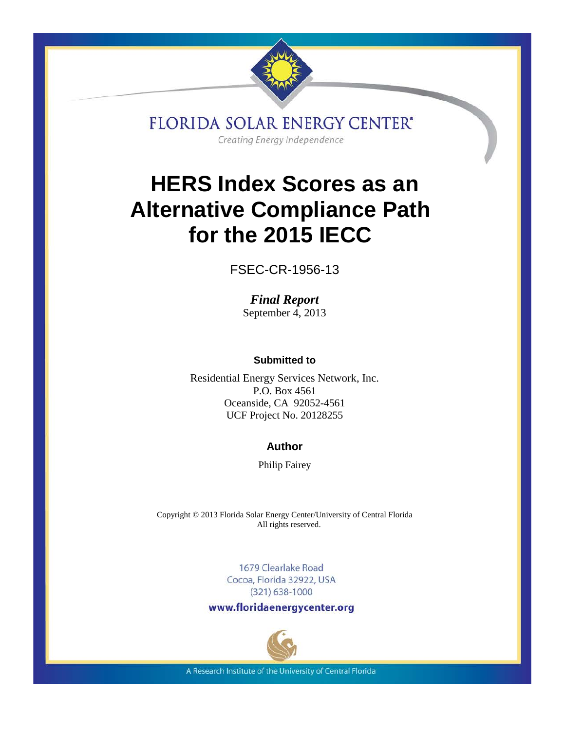

**FLORIDA SOLAR ENERGY CENTER'** Creating Energy Independence

# **HERS Index Scores as an Alternative Compliance Path for the 2015 IECC**

FSEC-CR-1956-13

*Final Report* September 4, 2013

**Submitted to**

Residential Energy Services Network, Inc. P.O. Box 4561 Oceanside, CA 92052-4561 UCF Project No. 20128255

## **Author**

Philip Fairey

Copyright © 2013 Florida Solar Energy Center/University of Central Florida All rights reserved.

> 1679 Clearlake Road Cocoa, Florida 32922, USA  $(321)$  638-1000

www.floridaenergycenter.org



A Research Institute of the University of Central Florida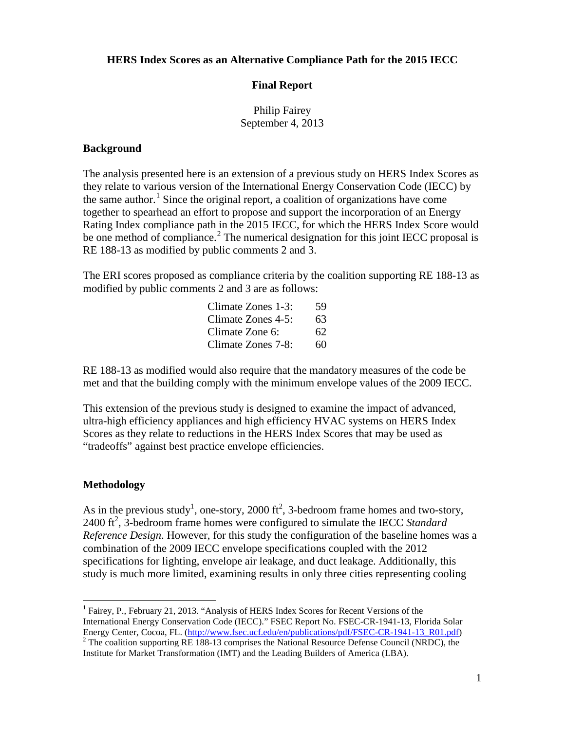**HERS Index Scores as an Alternative Compliance Path for the 2015 IECC**

#### **Final Report**

Philip Fairey September 4, 2013

#### **Background**

The analysis presented here is an extension of a previous study on HERS Index Scores as they relate to various version of the International Energy Conservation Code (IECC) by the same author.<sup>[1](#page-2-0)</sup> Since the original report, a coalition of organizations have come together to spearhead an effort to propose and support the incorporation of an Energy Rating Index compliance path in the 2015 IECC, for which the HERS Index Score would be one method of compliance.<sup>[2](#page-2-1)</sup> The numerical designation for this joint IECC proposal is RE 188-13 as modified by public comments 2 and 3.

The ERI scores proposed as compliance criteria by the coalition supporting RE 188-13 as modified by public comments 2 and 3 are as follows:

> Climate Zones 1-3: 59 Climate Zones 4-5: 63 Climate Zone 6: 62 Climate Zones 7-8: 60

RE 188-13 as modified would also require that the mandatory measures of the code be met and that the building comply with the minimum envelope values of the 2009 IECC.

This extension of the previous study is designed to examine the impact of advanced, ultra-high efficiency appliances and high efficiency HVAC systems on HERS Index Scores as they relate to reductions in the HERS Index Scores that may be used as "tradeoffs" against best practice envelope efficiencies.

### **Methodology**

As in the previous study<sup>1</sup>, one-story, 2000 ft<sup>2</sup>, 3-bedroom frame homes and two-story,  $2400 \text{ ft}^2$ , 3-bedroom frame homes were configured to simulate the IECC *Standard Reference Design*. However, for this study the configuration of the baseline homes was a combination of the 2009 IECC envelope specifications coupled with the 2012 specifications for lighting, envelope air leakage, and duct leakage. Additionally, this study is much more limited, examining results in only three cities representing cooling

<span id="page-2-0"></span><sup>&</sup>lt;sup>1</sup> Fairey, P., February 21, 2013. "Analysis of HERS Index Scores for Recent Versions of the International Energy Conservation Code (IECC)." FSEC Report No. FSEC-CR-1941-13, Florida Solar<br>Energy Center, Cocoa, FL. (http://www.fsec.ucf.edu/en/publications/pdf/FSEC-CR-1941-13, R01.pdf)

<span id="page-2-1"></span><sup>&</sup>lt;sup>2</sup> The coalition supporting RE 188-13 comprises the National Resource Defense Council (NRDC), the Institute for Market Transformation (IMT) and the Leading Builders of America (LBA).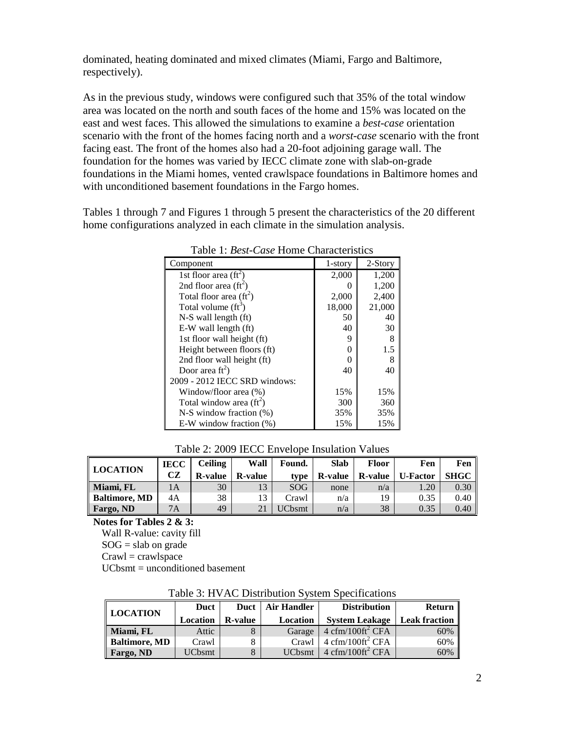dominated, heating dominated and mixed climates (Miami, Fargo and Baltimore, respectively).

As in the previous study, windows were configured such that 35% of the total window area was located on the north and south faces of the home and 15% was located on the east and west faces. This allowed the simulations to examine a *best-case* orientation scenario with the front of the homes facing north and a *worst-case* scenario with the front facing east. The front of the homes also had a 20-foot adjoining garage wall. The foundation for the homes was varied by IECC climate zone with slab-on-grade foundations in the Miami homes, vented crawlspace foundations in Baltimore homes and with unconditioned basement foundations in the Fargo homes.

Tables 1 through 7 and Figures 1 through 5 present the characteristics of the 20 different home configurations analyzed in each climate in the simulation analysis.

| Component                       | 1-story | 2-Story |
|---------------------------------|---------|---------|
| 1st floor area $({\rm ft}^2)$   | 2,000   | 1,200   |
| 2nd floor area $({\rm ft}^2)$   | 0       | 1,200   |
| Total floor area $({\rm ft}^2)$ | 2,000   | 2,400   |
| Total volume $(ft^3)$           | 18,000  | 21,000  |
| N-S wall length (ft)            | 50      | 40      |
| E-W wall length (ft)            | 40      | 30      |
| 1st floor wall height (ft)      | 9       | 8       |
| Height between floors (ft)      | ∩       | 1.5     |
| 2nd floor wall height (ft)      |         | 8       |
| Door area $\text{ft}^2$ )       | 40      | 40      |
| 2009 - 2012 IECC SRD windows:   |         |         |
| Window/floor area (%)           | 15%     | 15%     |
| Total window area $(ft^2)$      | 300     | 360     |
| $N-S$ window fraction $(\%)$    | 35%     | 35%     |
| E-W window fraction $(\%)$      | 15%     | 15%     |

Table 1: *Best-Case* Home Characteristics

| LOCATION      | <b>IECC</b><br>CZ | <b>Ceiling</b><br><b>R-value</b> | Wall<br><b>R-value</b> | Found.<br>type | <b>Slab</b><br><b>R-value</b> | Floor<br><b>R-value</b> | Fen<br><b>U-Factor</b> | Fen   <br><b>SHGC</b> II |
|---------------|-------------------|----------------------------------|------------------------|----------------|-------------------------------|-------------------------|------------------------|--------------------------|
| Miami, FL     | 1A                | 30                               |                        | SOG            | none                          | n/a                     | 1.20                   | $0.30$                   |
| Baltimore, MD | 4A                | 38                               |                        | Crawl          | n/a                           | 19                      | 0.35                   | 0.40                     |
| Fargo, ND     | 7А                | 49                               |                        | JCbsmt         | n/a                           | 38                      | 0.35                   | 0.40                     |

Table 2: 2009 IECC Envelope Insulation Values

**Notes for Tables 2 & 3:**

Wall R-value: cavity fill  $SOG = slab$  on grade  $C$ rawl = crawlspace UCbsmt = unconditioned basement

Table 3: HVAC Distribution System Specifications

|                      | Duct            | Duct            | <b>Air Handler</b> | <b>Distribution</b>                                    | Return               |
|----------------------|-----------------|-----------------|--------------------|--------------------------------------------------------|----------------------|
| <b>LOCATION</b>      | <b>Location</b> | <b>R</b> -value | Location           | <b>System Leakage</b>                                  | <b>Leak fraction</b> |
| Miami, FL            | Attic           |                 | Garage             | $4 \text{ cfm}/100 \text{ft}^2 \text{ CFA}$            | 60%                  |
| <b>Baltimore, MD</b> | Crawl           |                 |                    | Crawl $\int 4 \text{ cfm}/100 \text{ft}^2 \text{ CFA}$ | 60%                  |
| Fargo, ND            | UCbsmt          |                 | <b>UC</b> bsmt     | $4 \text{ cfm}/100 \text{ft}^2 \text{ CFA}$            | 60%                  |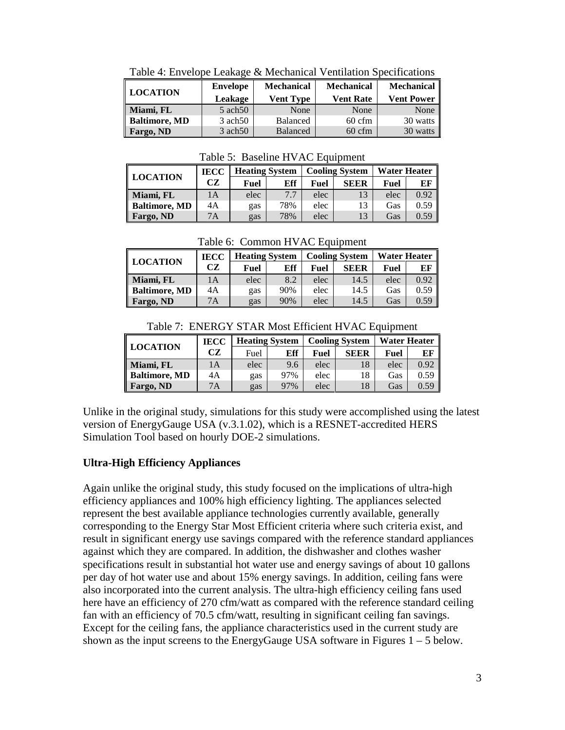| <b>LOCATION</b> | <b>Envelope</b>    | <b>Mechanical</b> | <b>Mechanical</b> | <b>Mechanical</b> |  |  |  |  |  |
|-----------------|--------------------|-------------------|-------------------|-------------------|--|--|--|--|--|
|                 | Leakage            | <b>Vent Type</b>  | <b>Vent Rate</b>  | <b>Vent Power</b> |  |  |  |  |  |
| Miami, FL       | $5 \text{ ach} 50$ | None              | None              | None              |  |  |  |  |  |
| Baltimore, MD   | $3 \text{ ach} 50$ | Balanced          | $60 \text{ cfm}$  | 30 watts          |  |  |  |  |  |
| Fargo, ND       | $3 \text{ ach} 50$ | <b>Balanced</b>   | $60 \text{ cfm}$  | 30 watts          |  |  |  |  |  |

Table 4: Envelope Leakage & Mechanical Ventilation Specifications

Table 5: Baseline HVAC Equipment

|                      | <b>IECC</b> | <b>Heating System</b> |     |      | <b>Cooling System</b> | <b>Water Heater</b> |      |
|----------------------|-------------|-----------------------|-----|------|-----------------------|---------------------|------|
| <b>LOCATION</b>      | CZ          | Fuel                  | Eff | Fuel | <b>SEER</b>           | Fuel                | EF   |
| Miami, FL            | 1Α          | elec                  | 7.7 | elec | 13                    | elec                | 0.92 |
| <b>Baltimore, MD</b> | 4A          | gas                   | 78% | elec | 13                    | Gas                 | 0.59 |
| Fargo, ND            | 7A          | gas                   | 78% | elec | 13                    | Gas                 | 0.59 |

Table 6: Common HVAC Equipment

|                      | <b>IECC</b> | <b>Heating System</b> |     | <b>Cooling System</b> |             | Water Heater |      |
|----------------------|-------------|-----------------------|-----|-----------------------|-------------|--------------|------|
| LOCATION             | CZ.         | Fuel                  | Eff | Fuel                  | <b>SEER</b> | Fuel         | EF   |
| Miami, FL            | 1A          | elec                  | 8.2 | elec                  | 14.5        | elec         | 0.92 |
| <b>Baltimore, MD</b> | 4A          | gas                   | 90% | elec                  | 14.5        | Gas          | 0.59 |
| Fargo, ND            | 7А          | gas                   | 90% | elec                  | 14.5        | Gas          | 0.59 |

Table 7: ENERGY STAR Most Efficient HVAC Equipment

|                      | <b>IECC</b> |      | <b>Heating System</b> | <b>Cooling System</b> |      | <b>Water Heater</b> |      |
|----------------------|-------------|------|-----------------------|-----------------------|------|---------------------|------|
| <b>LOCATION</b>      | CZ          | Fuel | Eff                   | Fuel                  | SEER | Fuel                | EF   |
| Miami, FL            | 1А          | elec | 9.6                   | elec                  | 18   | elec                | 0.92 |
| <b>Baltimore, MD</b> | 4A          | gas  | 97%                   | elec                  | 18   | Gas                 | 0.59 |
| Fargo, ND            | 7A          | gas  | 97%                   | elec                  | 18   | Gas                 | 0.59 |

Unlike in the original study, simulations for this study were accomplished using the latest version of EnergyGauge USA (v.3.1.02), which is a RESNET-accredited HERS Simulation Tool based on hourly DOE-2 simulations.

## **Ultra-High Efficiency Appliances**

Again unlike the original study, this study focused on the implications of ultra-high efficiency appliances and 100% high efficiency lighting. The appliances selected represent the best available appliance technologies currently available, generally corresponding to the Energy Star Most Efficient criteria where such criteria exist, and result in significant energy use savings compared with the reference standard appliances against which they are compared. In addition, the dishwasher and clothes washer specifications result in substantial hot water use and energy savings of about 10 gallons per day of hot water use and about 15% energy savings. In addition, ceiling fans were also incorporated into the current analysis. The ultra-high efficiency ceiling fans used here have an efficiency of 270 cfm/watt as compared with the reference standard ceiling fan with an efficiency of 70.5 cfm/watt, resulting in significant ceiling fan savings. Except for the ceiling fans, the appliance characteristics used in the current study are shown as the input screens to the EnergyGauge USA software in Figures  $1 - 5$  below.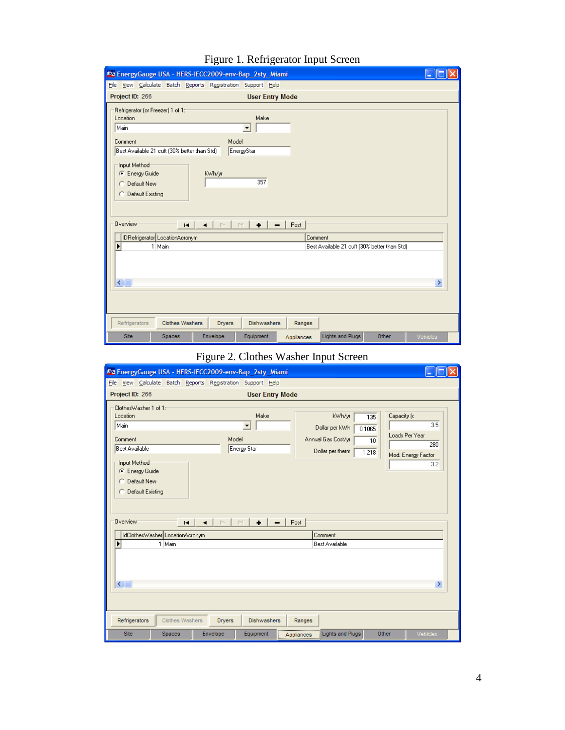| Rad EnergyGauge USA - HERS-IECC2009-env-Bap_2sty_Miami                                                                                                                                                                                                             |                   |
|--------------------------------------------------------------------------------------------------------------------------------------------------------------------------------------------------------------------------------------------------------------------|-------------------|
| File View Calculate Batch Reports Registration Support Help                                                                                                                                                                                                        |                   |
| Project ID: 266<br><b>User Entry Mode</b>                                                                                                                                                                                                                          |                   |
| Refrigerator (or Freezer) 1 of 1:-<br>Location<br>Make<br>Main<br>$\blacktriangledown$<br>Model<br>Comment<br>Best Available 21 cuft (30% better than Std)<br>EnergyStar<br>Input Method<br>C Energy Guide<br>kWh/yr<br>357<br>C Default New<br>C Default Existing |                   |
| <b>Overview</b><br>Post<br>$\Box$<br>$\mathbb{N}$<br>$\ddot{\phantom{1}}$<br>$\blacksquare$<br>◂<br>IDRefrigerator LocationAcronym<br>Comment<br>1 Main<br>Best Available 21 cuft (30% better than Std)<br>$\leq$ [III]                                            | $\rightarrow$     |
| Refrigerators<br><b>Clothes Washers</b><br><b>Dryers</b><br><b>Dishwashers</b><br>Ranges                                                                                                                                                                           |                   |
| Lights and Plugs<br><b>Site</b><br>Envelope<br>Equipment<br>Spaces<br>Appliances                                                                                                                                                                                   | Other<br>Vehicles |

## Figure 1. Refrigerator Input Screen

## Figure 2. Clothes Washer Input Screen

| <sup>read</sup> EnergyGauge USA - HERS-IECC2009-env-Bap_2sty_Miami                                                                                  |                                                        |               |                                                 |            |                                                                    |                                              |                                                           |
|-----------------------------------------------------------------------------------------------------------------------------------------------------|--------------------------------------------------------|---------------|-------------------------------------------------|------------|--------------------------------------------------------------------|----------------------------------------------|-----------------------------------------------------------|
| File                                                                                                                                                | View Calculate Batch Reports Registration Support Help |               |                                                 |            |                                                                    |                                              |                                                           |
| Project ID: 266                                                                                                                                     |                                                        |               | <b>User Entry Mode</b>                          |            |                                                                    |                                              |                                                           |
| ClothesWasher 1 of 1:1<br>Location<br>Main<br>Comment<br>Best Available<br>Input Method<br>C Energy Guide<br>Default New<br>o<br>C Default Existing |                                                        | Model         | Make<br>$\overline{\phantom{a}}$<br>Energy Star |            | kWh/yr<br>Dollar per kWh<br>Annual Gas Cost/yr<br>Dollar per therm | Capacity (c)<br>135<br>0.1065<br>10<br>1.218 | 3.5<br>Loads Per Year<br>280<br>Mod. Energy Factor<br>3.2 |
| Overview                                                                                                                                            | м                                                      |               | N<br>٠                                          | Post       |                                                                    |                                              |                                                           |
|                                                                                                                                                     | IdClothesWasher LocationAcronym<br>1 Main              |               |                                                 |            | Comment<br><b>Best Available</b>                                   |                                              |                                                           |
| $\leq$                                                                                                                                              |                                                        |               |                                                 |            |                                                                    |                                              | $\rightarrow$                                             |
| Refrigerators                                                                                                                                       | <b>Clothes Washers</b>                                 | <b>Dryers</b> | <b>Dishwashers</b>                              | Ranges     |                                                                    |                                              |                                                           |
| Site                                                                                                                                                | <b>Spaces</b>                                          | Envelope      | Equipment                                       | Appliances | <b>Lights and Plugs</b>                                            | Other                                        | Vehicles                                                  |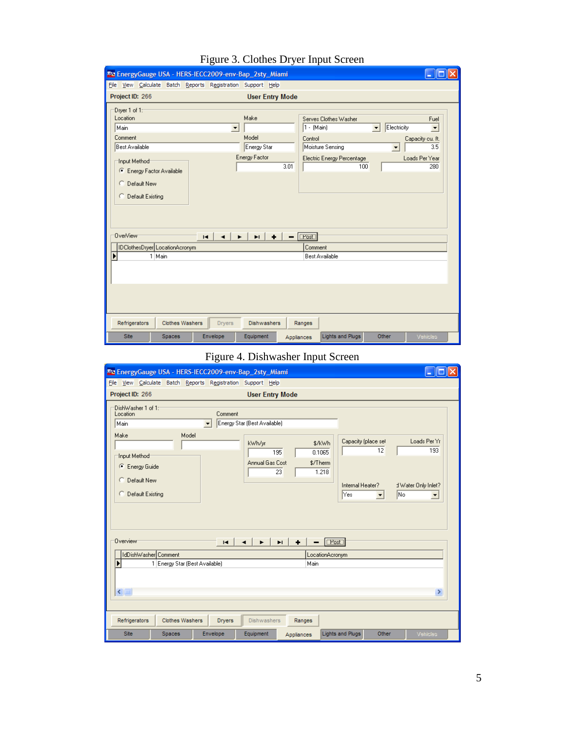| <sup>maa</sup> EnergyGauge USA - HERS-IECC2009-env-Bap_2sty_Miami                                                                                                                 |                                                       |                                                                                                                                 |                                                                                                                                 |
|-----------------------------------------------------------------------------------------------------------------------------------------------------------------------------------|-------------------------------------------------------|---------------------------------------------------------------------------------------------------------------------------------|---------------------------------------------------------------------------------------------------------------------------------|
| File View Calculate Batch Reports Registration Support Help                                                                                                                       |                                                       |                                                                                                                                 |                                                                                                                                 |
| Project ID: 266                                                                                                                                                                   | <b>User Entry Mode</b>                                |                                                                                                                                 |                                                                                                                                 |
| Dryer 1 of 1:<br>Location<br>Main<br>$\blacktriangledown$<br>Comment<br><b>Best Available</b><br>Input Method<br>C Energy Factor Available<br>C Default New<br>C Default Existing | Make<br>Model<br>Energy Star<br>Energy Factor<br>3.01 | Serves Clothes Washer<br>1 - (Main)<br>$\blacktriangledown$<br>Control<br>Moisture Sensing<br>Electric Energy Percentage<br>100 | Fuel<br>Electricity<br>$\overline{\phantom{a}}$<br>Capacity cu. ft.<br>3.5<br>$\overline{\phantom{a}}$<br>Loads Per Year<br>280 |
| <b>OverView</b><br>$\blacksquare$<br>$\blacktriangleleft$<br>IDClothesDryer LocationAcronym<br>1 Main                                                                             | $\ddot{\phantom{1}}$<br>$\blacksquare$                | $ [Test]$<br>Comment<br><b>Best Available</b>                                                                                   |                                                                                                                                 |
|                                                                                                                                                                                   |                                                       |                                                                                                                                 |                                                                                                                                 |
| Refrigerators<br><b>Clothes Washers</b><br><b>Dryers</b>                                                                                                                          | <b>Dishwashers</b>                                    | Ranges                                                                                                                          |                                                                                                                                 |
| Site<br>Envelope<br><b>Spaces</b>                                                                                                                                                 | Equipment                                             | <b>Lights and Plugs</b><br>Appliances                                                                                           | Other<br>Vehicles                                                                                                               |

## Figure 3. Clothes Dryer Input Screen

## Figure 4. Dishwasher Input Screen

|                                         |                                |                                                | The EnergyGauge USA - HERS-IECC2009-env-Bap_2sty_Miami |            |                                         |                                   |                                             |
|-----------------------------------------|--------------------------------|------------------------------------------------|--------------------------------------------------------|------------|-----------------------------------------|-----------------------------------|---------------------------------------------|
|                                         |                                | File View Calculate Batch Reports Registration | Support Help                                           |            |                                         |                                   |                                             |
| Project ID: 266                         |                                |                                                | <b>User Entry Mode</b>                                 |            |                                         |                                   |                                             |
| DishWasher 1 of 1:1<br>Location<br>Main |                                | Comment<br>$\overline{\phantom{0}}$            | Energy Star (Best Available)                           |            |                                         |                                   |                                             |
| Make<br>Input Method<br>Energy Guide    | Model                          |                                                | kWh/yr<br>195<br>Annual Gas Cost                       | \$/Therm   | Capacity (place sel<br>\$/kWh<br>0.1065 | 12                                | Loads Per Yr<br>193                         |
| C Default New<br>C Default Existing     |                                |                                                | 23                                                     |            | 1.218<br>Internal Heater?<br>lYes:      | <b>No</b><br>$\blacktriangledown$ | d Water Only Inlet?<br>$\blacktriangledown$ |
| Overview                                |                                | $\blacksquare$                                 | E.                                                     |            | Post                                    |                                   |                                             |
| IdDishWasher Comment                    |                                |                                                |                                                        |            | LocationAcronym                         |                                   |                                             |
| $\leq$                                  | 1 Energy Star (Best Available) |                                                |                                                        | Main       |                                         |                                   | $\rightarrow$                               |
| Refrigerators                           | <b>Clothes Washers</b>         | <b>Dryers</b>                                  | <b>Dishwashers</b>                                     | Ranges     |                                         |                                   |                                             |
| Site                                    | <b>Spaces</b>                  | Envelope                                       | Equipment                                              | Appliances | Lights and Plugs                        | Other                             | Vehicles                                    |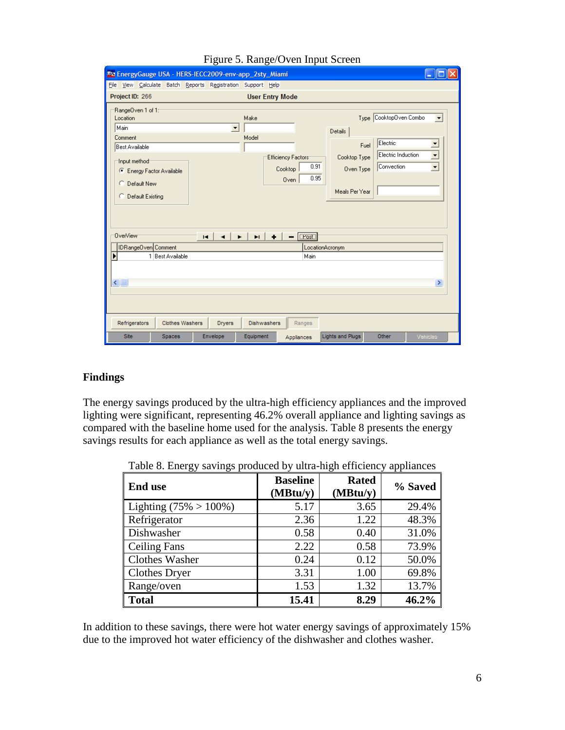| <sup>read</sup> EnergyGauge USA - HERS-IECC2009-env-app_2sty_Miami                                                                                                         |                                               |                                                                    |                                                                |                                                                        |                                                                                   |
|----------------------------------------------------------------------------------------------------------------------------------------------------------------------------|-----------------------------------------------|--------------------------------------------------------------------|----------------------------------------------------------------|------------------------------------------------------------------------|-----------------------------------------------------------------------------------|
| File View Calculate Batch Reports Registration Support Help                                                                                                                |                                               |                                                                    |                                                                |                                                                        |                                                                                   |
| Project ID: 266                                                                                                                                                            |                                               | <b>User Entry Mode</b>                                             |                                                                |                                                                        |                                                                                   |
| RangeOven 1 of 1:<br>Location<br>Main<br>Comment<br>Best Available<br>Input method<br>C Energy Factor Available<br>C. Default New<br>C Default Existing<br><b>OverView</b> | Make<br>$\blacktriangledown$<br>Model         | Efficiency Factors <sup>-</sup><br>0.91<br>Cooktop<br>0.95<br>Oven | Details<br>Fuel<br>Cooktop Type<br>Oven Type<br>Meals Per Year | Type CooktopOven Combo<br>Electric<br>Electric Induction<br>Convection | $\overline{\mathbf{v}}$<br>I.<br>$\overline{\phantom{0}}$<br>$\blacktriangledown$ |
| IDRangeOven Comment                                                                                                                                                        | E.<br>$\blacksquare$<br>$\blacktriangleright$ | $ C\textrm{Post} $<br>٠<br>$\overline{\phantom{0}}$                |                                                                |                                                                        |                                                                                   |
| 1 Best Available                                                                                                                                                           |                                               | LocationAcronym<br>Main                                            |                                                                |                                                                        |                                                                                   |
| $\leq$                                                                                                                                                                     |                                               |                                                                    |                                                                |                                                                        | $\rightarrow$                                                                     |
| Refrigerators<br><b>Clothes Washers</b>                                                                                                                                    | <b>Dryers</b><br>Dishwashers                  | Ranges                                                             |                                                                |                                                                        |                                                                                   |
| Site<br>Spaces                                                                                                                                                             | Envelope<br>Equipment                         | Appliances                                                         | <b>Lights and Plugs</b>                                        | Other                                                                  | Vehicles                                                                          |

#### Figure 5. Range/Oven Input Screen

#### **Findings**

The energy savings produced by the ultra-high efficiency appliances and the improved lighting were significant, representing 46.2% overall appliance and lighting savings as compared with the baseline home used for the analysis. Table 8 presents the energy savings results for each appliance as well as the total energy savings.

Table 8. Energy savings produced by ultra-high efficiency appliances

| <b>End use</b>            | <b>Baseline</b><br>(MBtu/y) | <b>Rated</b><br>(MBtu/y) | % Saved |
|---------------------------|-----------------------------|--------------------------|---------|
| Lighting $(75\% > 100\%)$ | 5.17                        | 3.65                     | 29.4%   |
| Refrigerator              | 2.36                        | 1.22                     | 48.3%   |
| Dishwasher                | 0.58                        | 0.40                     | 31.0%   |
| <b>Ceiling Fans</b>       | 2.22                        | 0.58                     | 73.9%   |
| <b>Clothes Washer</b>     | 0.24                        | 0.12                     | 50.0%   |
| <b>Clothes Dryer</b>      | 3.31                        | 1.00                     | 69.8%   |
| Range/oven                | 1.53                        | 1.32                     | 13.7%   |
| <b>Total</b>              | 15.41                       | 8.29                     | 46.2%   |

In addition to these savings, there were hot water energy savings of approximately 15% due to the improved hot water efficiency of the dishwasher and clothes washer.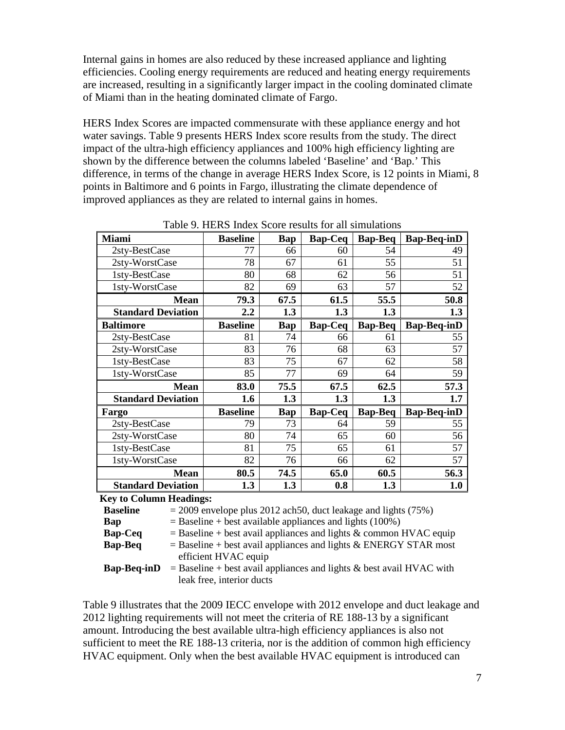Internal gains in homes are also reduced by these increased appliance and lighting efficiencies. Cooling energy requirements are reduced and heating energy requirements are increased, resulting in a significantly larger impact in the cooling dominated climate of Miami than in the heating dominated climate of Fargo.

HERS Index Scores are impacted commensurate with these appliance energy and hot water savings. Table 9 presents HERS Index score results from the study. The direct impact of the ultra-high efficiency appliances and 100% high efficiency lighting are shown by the difference between the columns labeled 'Baseline' and 'Bap.' This difference, in terms of the change in average HERS Index Score, is 12 points in Miami, 8 points in Baltimore and 6 points in Fargo, illustrating the climate dependence of improved appliances as they are related to internal gains in homes.

| <b>Miami</b>                   | <b>Baseline</b>  | Bap        | <b>Bap-Ceq</b> | <b>Bap-Beq</b> | <b>Bap-Beq-inD</b> |
|--------------------------------|------------------|------------|----------------|----------------|--------------------|
| 2sty-BestCase                  | 77               | 66         | 60             | 54             | 49                 |
| 2sty-WorstCase                 | 78               | 67         | 61             | 55             | 51                 |
| 1sty-BestCase                  | 80               | 68         | 62             | 56             | 51                 |
| 1sty-WorstCase                 | 82               | 69         | 63             | 57             | 52                 |
| <b>Mean</b>                    | 79.3             | 67.5       | 61.5           | 55.5           | 50.8               |
| <b>Standard Deviation</b>      | $2.2\phantom{0}$ | 1.3        | 1.3            | 1.3            | 1.3                |
| <b>Baltimore</b>               | <b>Baseline</b>  | Bap        | <b>Bap-Ceq</b> | <b>Bap-Beq</b> | <b>Bap-Beq-inD</b> |
| 2sty-BestCase                  | 81               | 74         | 66             | 61             | 55                 |
| 2sty-WorstCase                 | 83               | 76         | 68             | 63             | 57                 |
| 1sty-BestCase                  | 83               | 75         | 67             | 62             | 58                 |
| 1sty-WorstCase                 | 85               | 77         | 69             | 64             | 59                 |
| <b>Mean</b>                    | 83.0             | 75.5       | 67.5           | 62.5           | 57.3               |
| <b>Standard Deviation</b>      | 1.6              | 1.3        | 1.3            | 1.3            | 1.7                |
| Fargo                          | <b>Baseline</b>  | <b>Bap</b> | <b>Bap-Ceq</b> | <b>Bap-Beq</b> | <b>Bap-Beq-inD</b> |
| 2sty-BestCase                  | 79               | 73         | 64             | 59             | 55                 |
| 2sty-WorstCase                 | 80               | 74         | 65             | 60             | 56                 |
| 1sty-BestCase                  | 81               | 75         | 65             | 61             | 57                 |
| 1sty-WorstCase                 | 82               | 76         | 66             | 62             | 57                 |
| <b>Mean</b>                    | 80.5             | 74.5       | 65.0           | 60.5           | 56.3               |
| <b>Standard Deviation</b>      | 1.3              | 1.3        | 0.8            | 1.3            | 1.0                |
| <b>Key to Column Headings:</b> |                  |            |                |                |                    |

Table 9. HERS Index Score results for all simulations

| <b>Key to Column Headings:</b> |  |                                                                   |  |  |  |                                                                        |  |
|--------------------------------|--|-------------------------------------------------------------------|--|--|--|------------------------------------------------------------------------|--|
| <b>Baseline</b>                |  | $=$ 2009 envelope plus 2012 ach 50, duct leakage and lights (75%) |  |  |  |                                                                        |  |
| Bap                            |  | $=$ Baseline + best available appliances and lights (100%)        |  |  |  |                                                                        |  |
| <b>Bap-Ceq</b>                 |  |                                                                   |  |  |  | $=$ Baseline + best avail appliances and lights & common HVAC equip    |  |
| <b>Bap-Beq</b>                 |  |                                                                   |  |  |  | $=$ Baseline + best avail appliances and lights & ENERGY STAR most     |  |
|                                |  | efficient HVAC equip                                              |  |  |  |                                                                        |  |
| <b>Bap-Beq-inD</b>             |  |                                                                   |  |  |  | $=$ Baseline + best avail appliances and lights & best avail HVAC with |  |
|                                |  | leak free, interior ducts                                         |  |  |  |                                                                        |  |
|                                |  |                                                                   |  |  |  |                                                                        |  |

Table 9 illustrates that the 2009 IECC envelope with 2012 envelope and duct leakage and 2012 lighting requirements will not meet the criteria of RE 188-13 by a significant amount. Introducing the best available ultra-high efficiency appliances is also not sufficient to meet the RE 188-13 criteria, nor is the addition of common high efficiency HVAC equipment. Only when the best available HVAC equipment is introduced can